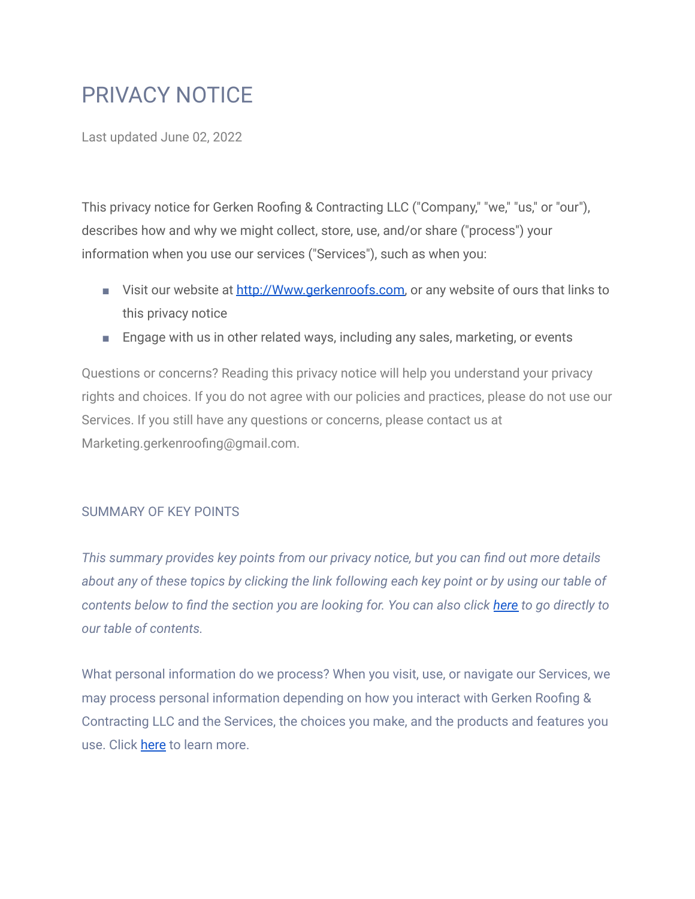# PRIVACY NOTICE

Last updated June 02, 2022

This privacy notice for Gerken Roofing & Contracting LLC ("Company," "we," "us," or "our"), describes how and why we might collect, store, use, and/or share ("process") your information when you use our services ("Services"), such as when you:

- Visit our website at [http://Www.gerkenroofs.com,](http://www.gerkenroofs.com/) or any website of ours that links to this privacy notice
- Engage with us in other related ways, including any sales, marketing, or events

Questions or concerns? Reading this privacy notice will help you understand your privacy rights and choices. If you do not agree with our policies and practices, please do not use our Services. If you still have any questions or concerns, please contact us at Marketing.gerkenroofing@gmail.com.

#### SUMMARY OF KEY POINTS

*This summary provides key points from our privacy notice, but you can find out more details* about any of these topics by clicking the link following each key point or by using our table of contents below to find the section you are looking for. You can also click [here](https://app.termly.io/dashboard/website/3e2ade74-0d9d-4643-8b5b-291321c19b65/terms-of-service#toc) to go directly to *our table of contents.*

What personal information do we process? When you visit, use, or navigate our Services, we may process personal information depending on how you interact with Gerken Roofing & Contracting LLC and the Services, the choices you make, and the products and features you use. Click [here](https://app.termly.io/dashboard/website/3e2ade74-0d9d-4643-8b5b-291321c19b65/terms-of-service#personalinfo) to learn more.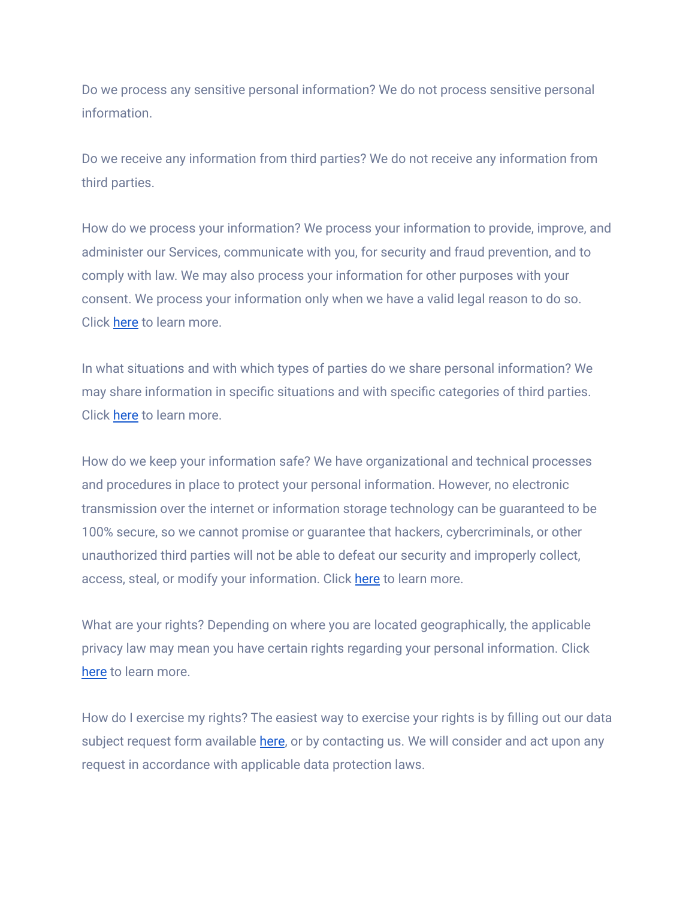Do we process any sensitive personal information? We do not process sensitive personal information.

Do we receive any information from third parties? We do not receive any information from third parties.

How do we process your information? We process your information to provide, improve, and administer our Services, communicate with you, for security and fraud prevention, and to comply with law. We may also process your information for other purposes with your consent. We process your information only when we have a valid legal reason to do so. Click [here](https://app.termly.io/dashboard/website/3e2ade74-0d9d-4643-8b5b-291321c19b65/terms-of-service#infouse) to learn more.

In what situations and with which types of parties do we share personal information? We may share information in specific situations and with specific categories of third parties. Click [here](https://app.termly.io/dashboard/website/3e2ade74-0d9d-4643-8b5b-291321c19b65/terms-of-service#whoshare) to learn more.

How do we keep your information safe? We have organizational and technical processes and procedures in place to protect your personal information. However, no electronic transmission over the internet or information storage technology can be guaranteed to be 100% secure, so we cannot promise or guarantee that hackers, cybercriminals, or other unauthorized third parties will not be able to defeat our security and improperly collect, access, steal, or modify your information. Click [here](https://app.termly.io/dashboard/website/3e2ade74-0d9d-4643-8b5b-291321c19b65/terms-of-service#infosafe) to learn more.

What are your rights? Depending on where you are located geographically, the applicable privacy law may mean you have certain rights regarding your personal information. Click [here](https://app.termly.io/dashboard/website/3e2ade74-0d9d-4643-8b5b-291321c19b65/terms-of-service#privacyrights) to learn more.

How do I exercise my rights? The easiest way to exercise your rights is by filling out our data subject request form available [here](https://app.termly.io/notify/f30149a3-fbbb-44f5-ad88-a8092e963666), or by contacting us. We will consider and act upon any request in accordance with applicable data protection laws.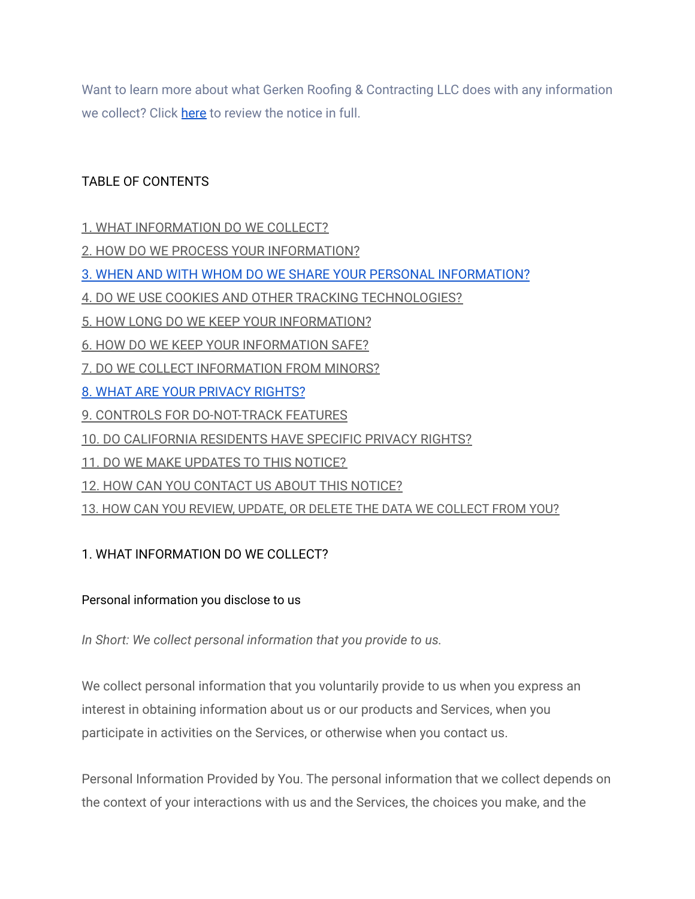Want to learn more about what Gerken Roofing & Contracting LLC does with any information we collect? Click [here](https://app.termly.io/dashboard/website/3e2ade74-0d9d-4643-8b5b-291321c19b65/terms-of-service#toc) to review the notice in full.

# TABLE OF CONTENTS

- 1. WHAT [INFORMATION](https://app.termly.io/dashboard/website/3e2ade74-0d9d-4643-8b5b-291321c19b65/terms-of-service#infocollect) DO WE COLLECT?
- 2. HOW DO WE PROCESS YOUR [INFORMATION?](https://app.termly.io/dashboard/website/3e2ade74-0d9d-4643-8b5b-291321c19b65/terms-of-service#infouse)
- 3. WHEN AND WITH WHOM DO WE SHARE YOUR PERSONAL [INFORMATION?](https://app.termly.io/dashboard/website/3e2ade74-0d9d-4643-8b5b-291321c19b65/terms-of-service#whoshare)
- 4. DO WE USE COOKIES AND OTHER TRACKING [TECHNOLOGIES?](https://app.termly.io/dashboard/website/3e2ade74-0d9d-4643-8b5b-291321c19b65/terms-of-service#cookies)
- 5. HOW LONG DO WE KEEP YOUR [INFORMATION?](https://app.termly.io/dashboard/website/3e2ade74-0d9d-4643-8b5b-291321c19b65/terms-of-service#inforetain)
- 6. HOW DO WE KEEP YOUR [INFORMATION](https://app.termly.io/dashboard/website/3e2ade74-0d9d-4643-8b5b-291321c19b65/terms-of-service#infosafe) SAFE?
- 7. DO WE COLLECT [INFORMATION](https://app.termly.io/dashboard/website/3e2ade74-0d9d-4643-8b5b-291321c19b65/terms-of-service#infominors) FROM MINORS?
- 8. WHAT ARE YOUR [PRIVACY](https://app.termly.io/dashboard/website/3e2ade74-0d9d-4643-8b5b-291321c19b65/terms-of-service#privacyrights) RIGHTS?
- 9. CONTROLS FOR [DO-NOT-TRACK](https://app.termly.io/dashboard/website/3e2ade74-0d9d-4643-8b5b-291321c19b65/terms-of-service#DNT) FEATURES
- 10. DO [CALIFORNIA](https://app.termly.io/dashboard/website/3e2ade74-0d9d-4643-8b5b-291321c19b65/terms-of-service#caresidents) RESIDENTS HAVE SPECIFIC PRIVACY RIGHTS?
- 11. DO WE MAKE [UPDATES](https://app.termly.io/dashboard/website/3e2ade74-0d9d-4643-8b5b-291321c19b65/terms-of-service#policyupdates) TO THIS NOTICE?
- 12. HOW CAN YOU [CONTACT](https://app.termly.io/dashboard/website/3e2ade74-0d9d-4643-8b5b-291321c19b65/terms-of-service#contact) US ABOUT THIS NOTICE?
- 13. HOW CAN YOU REVIEW, UPDATE, OR DELETE THE DATA WE [COLLECT](https://app.termly.io/dashboard/website/3e2ade74-0d9d-4643-8b5b-291321c19b65/terms-of-service#request) FROM YOU?

# 1. WHAT INFORMATION DO WE COLLECT?

## Personal information you disclose to us

*In Short: We collect personal information that you provide to us.*

We collect personal information that you voluntarily provide to us when you express an interest in obtaining information about us or our products and Services, when you participate in activities on the Services, or otherwise when you contact us.

Personal Information Provided by You. The personal information that we collect depends on the context of your interactions with us and the Services, the choices you make, and the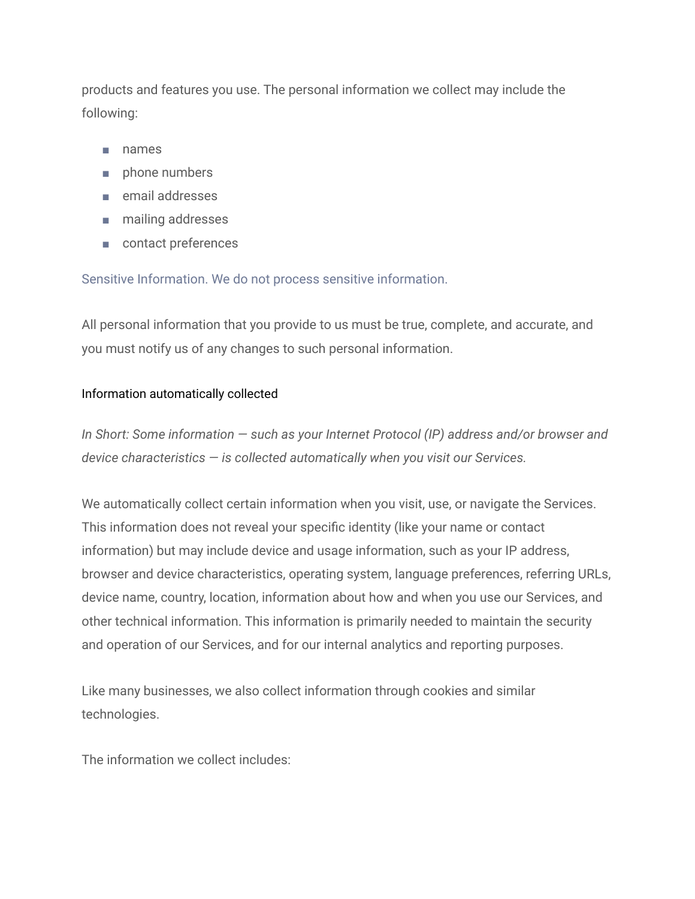products and features you use. The personal information we collect may include the following:

- names
- phone numbers
- email addresses
- mailing addresses
- contact preferences

Sensitive Information. We do not process sensitive information.

All personal information that you provide to us must be true, complete, and accurate, and you must notify us of any changes to such personal information.

## Information automatically collected

*In Short: Some information — such as your Internet Protocol (IP) address and/or browser and device characteristics — is collected automatically when you visit our Services.*

We automatically collect certain information when you visit, use, or navigate the Services. This information does not reveal your specific identity (like your name or contact information) but may include device and usage information, such as your IP address, browser and device characteristics, operating system, language preferences, referring URLs, device name, country, location, information about how and when you use our Services, and other technical information. This information is primarily needed to maintain the security and operation of our Services, and for our internal analytics and reporting purposes.

Like many businesses, we also collect information through cookies and similar technologies.

The information we collect includes: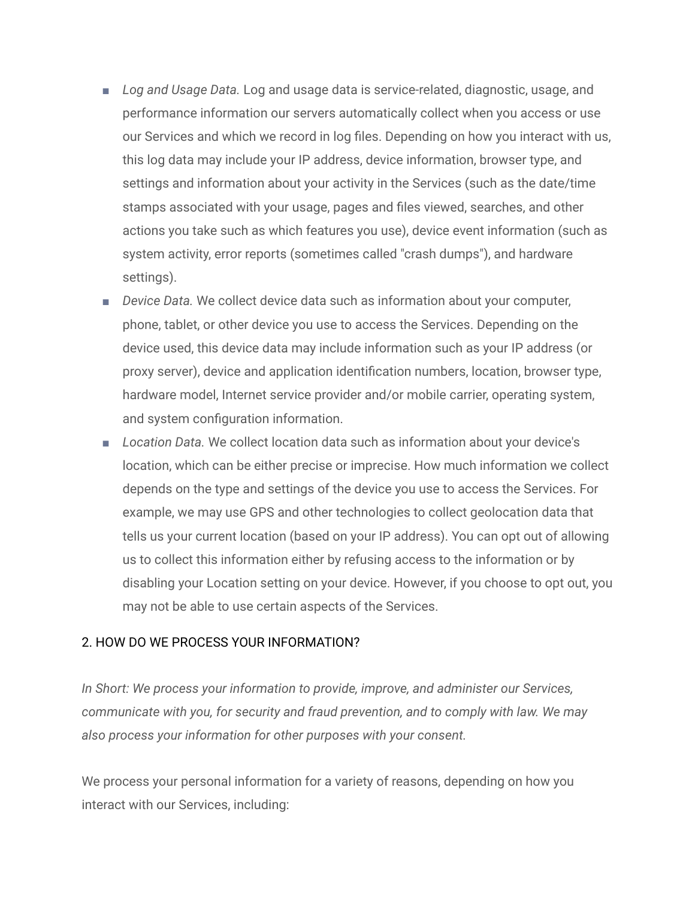- *Log and Usage Data*. Log and usage data is service-related, diagnostic, usage, and performance information our servers automatically collect when you access or use our Services and which we record in log files. Depending on how you interact with us, this log data may include your IP address, device information, browser type, and settings and information about your activity in the Services (such as the date/time stamps associated with your usage, pages and files viewed, searches, and other actions you take such as which features you use), device event information (such as system activity, error reports (sometimes called "crash dumps"), and hardware settings).
- *Device Data*. We collect device data such as information about your computer, phone, tablet, or other device you use to access the Services. Depending on the device used, this device data may include information such as your IP address (or proxy server), device and application identification numbers, location, browser type, hardware model, Internet service provider and/or mobile carrier, operating system, and system configuration information.
- *Location Data*. We collect location data such as information about your device's location, which can be either precise or imprecise. How much information we collect depends on the type and settings of the device you use to access the Services. For example, we may use GPS and other technologies to collect geolocation data that tells us your current location (based on your IP address). You can opt out of allowing us to collect this information either by refusing access to the information or by disabling your Location setting on your device. However, if you choose to opt out, you may not be able to use certain aspects of the Services.

## 2. HOW DO WE PROCESS YOUR INFORMATION?

*In Short: We process your information to provide, improve, and administer our Services, communicate with you, for security and fraud prevention, and to comply with law. We may also process your information for other purposes with your consent.*

We process your personal information for a variety of reasons, depending on how you interact with our Services, including: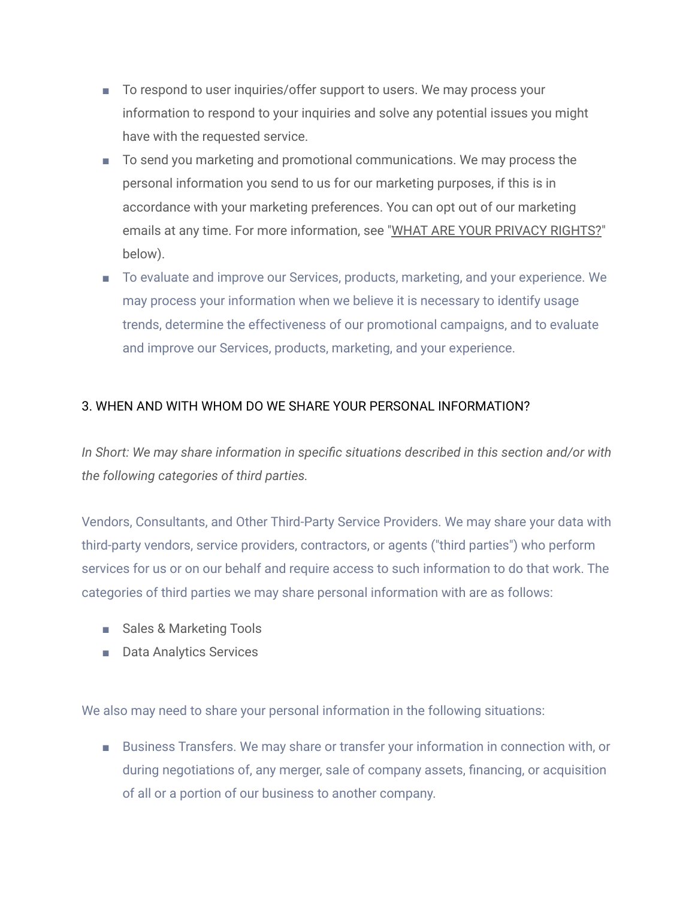- To respond to user inquiries/offer support to users. We may process your information to respond to your inquiries and solve any potential issues you might have with the requested service.
- To send you marketing and promotional communications. We may process the personal information you send to us for our marketing purposes, if this is in accordance with your marketing preferences. You can opt out of our marketing emails at any time. For more information, see "WHAT ARE YOUR [PRIVACY](https://app.termly.io/dashboard/website/3e2ade74-0d9d-4643-8b5b-291321c19b65/terms-of-service#privacyrights) RIGHTS?" below).
- To evaluate and improve our Services, products, marketing, and your experience. We may process your information when we believe it is necessary to identify usage trends, determine the effectiveness of our promotional campaigns, and to evaluate and improve our Services, products, marketing, and your experience.

## 3. WHEN AND WITH WHOM DO WE SHARE YOUR PERSONAL INFORMATION?

*In Short: We may share information in specific situations described in this section and/or with the following categories of third parties.*

Vendors, Consultants, and Other Third-Party Service Providers. We may share your data with third-party vendors, service providers, contractors, or agents ("third parties") who perform services for us or on our behalf and require access to such information to do that work. The categories of third parties we may share personal information with are as follows:

- Sales & Marketing Tools
- Data Analytics Services

We also may need to share your personal information in the following situations:

■ Business Transfers. We may share or transfer your information in connection with, or during negotiations of, any merger, sale of company assets, financing, or acquisition of all or a portion of our business to another company.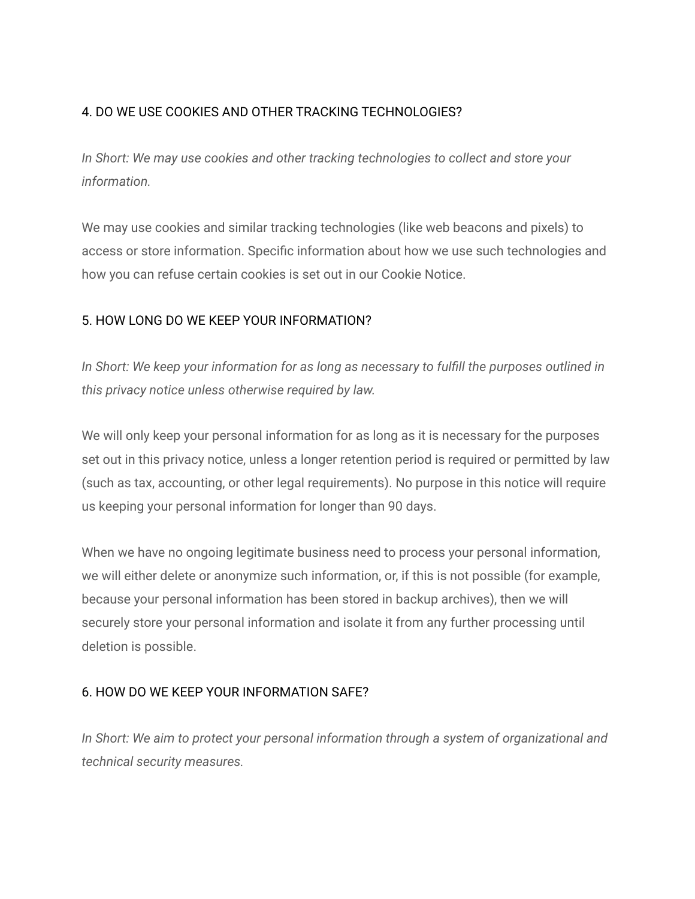## 4. DO WE USE COOKIES AND OTHER TRACKING TECHNOLOGIES?

*In Short: We may use cookies and other tracking technologies to collect and store your information.*

We may use cookies and similar tracking technologies (like web beacons and pixels) to access or store information. Specific information about how we use such technologies and how you can refuse certain cookies is set out in our Cookie Notice.

## 5. HOW LONG DO WE KEEP YOUR INFORMATION?

*In Short: We keep your information for as long as necessary to fulfill the purposes outlined in this privacy notice unless otherwise required by law.*

We will only keep your personal information for as long as it is necessary for the purposes set out in this privacy notice, unless a longer retention period is required or permitted by law (such as tax, accounting, or other legal requirements). No purpose in this notice will require us keeping your personal information for longer than 90 days.

When we have no ongoing legitimate business need to process your personal information, we will either delete or anonymize such information, or, if this is not possible (for example, because your personal information has been stored in backup archives), then we will securely store your personal information and isolate it from any further processing until deletion is possible.

## 6. HOW DO WE KEEP YOUR INFORMATION SAFE?

*In Short: We aim to protect your personal information through a system of organizational and technical security measures.*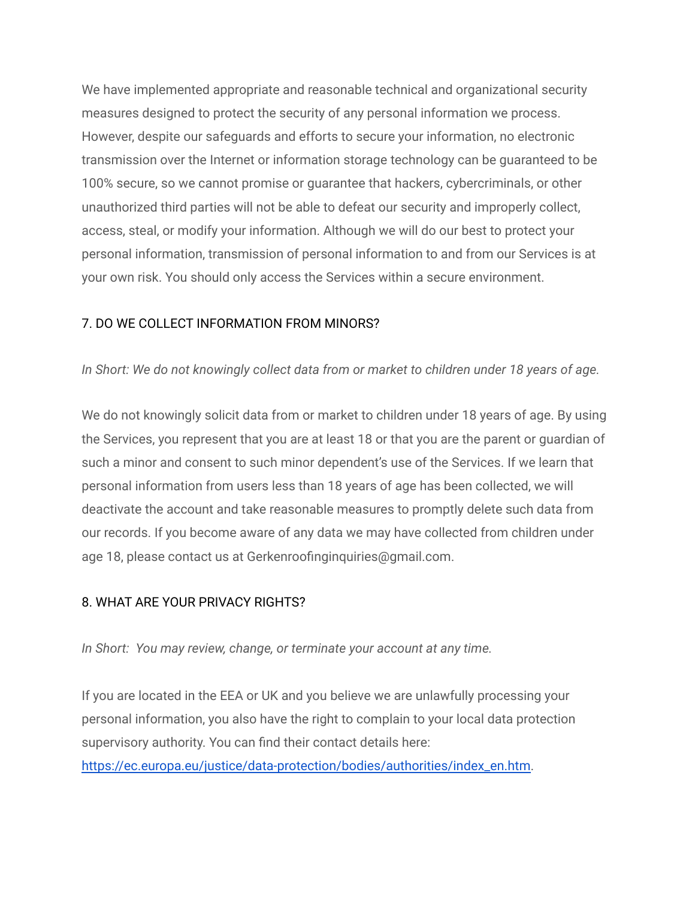We have implemented appropriate and reasonable technical and organizational security measures designed to protect the security of any personal information we process. However, despite our safeguards and efforts to secure your information, no electronic transmission over the Internet or information storage technology can be guaranteed to be 100% secure, so we cannot promise or guarantee that hackers, cybercriminals, or other unauthorized third parties will not be able to defeat our security and improperly collect, access, steal, or modify your information. Although we will do our best to protect your personal information, transmission of personal information to and from our Services is at your own risk. You should only access the Services within a secure environment.

#### 7. DO WE COLLECT INFORMATION FROM MINORS?

*In Short: We do not knowingly collect data from or market to children under 18 years of age.*

We do not knowingly solicit data from or market to children under 18 years of age. By using the Services, you represent that you are at least 18 or that you are the parent or guardian of such a minor and consent to such minor dependent's use of the Services. If we learn that personal information from users less than 18 years of age has been collected, we will deactivate the account and take reasonable measures to promptly delete such data from our records. If you become aware of any data we may have collected from children under age 18, please contact us at Gerkenroofinginquiries@gmail.com.

## 8. WHAT ARE YOUR PRIVACY RIGHTS?

*In Short: You may review, change, or terminate your account at any time.*

If you are located in the EEA or UK and you believe we are unlawfully processing your personal information, you also have the right to complain to your local data protection supervisory authority. You can find their contact details here:

[https://ec.europa.eu/justice/data-protection/bodies/authorities/index\\_en.htm.](https://ec.europa.eu/justice/data-protection/bodies/authorities/index_en.htm)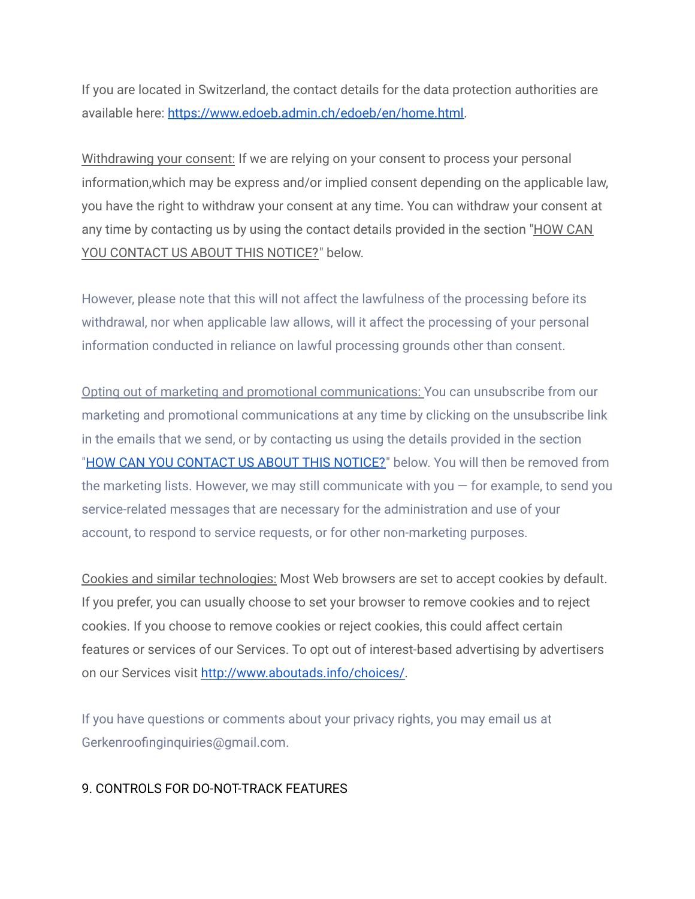If you are located in Switzerland, the contact details for the data protection authorities are available here: [https://www.edoeb.admin.ch/edoeb/en/home.html.](https://www.edoeb.admin.ch/edoeb/en/home.html)

Withdrawing your consent: If we are relying on your consent to process your personal information,which may be express and/or implied consent depending on the applicable law, you have the right to withdraw your consent at any time. You can withdraw your consent at any time by contacting us by using the contact details provided in the section ["HOW](https://app.termly.io/dashboard/website/3e2ade74-0d9d-4643-8b5b-291321c19b65/terms-of-service#contact) CAN YOU [CONTACT](https://app.termly.io/dashboard/website/3e2ade74-0d9d-4643-8b5b-291321c19b65/terms-of-service#contact) US ABOUT THIS NOTICE?" below.

However, please note that this will not affect the lawfulness of the processing before its withdrawal, nor when applicable law allows, will it affect the processing of your personal information conducted in reliance on lawful processing grounds other than consent.

Opting out of marketing and promotional communications: You can unsubscribe from our marketing and promotional communications at any time by clicking on the unsubscribe link in the emails that we send, or by contacting us using the details provided in the section "HOW CAN YOU [CONTACT](https://app.termly.io/dashboard/website/3e2ade74-0d9d-4643-8b5b-291321c19b65/terms-of-service#contact) US ABOUT THIS NOTICE?" below. You will then be removed from the marketing lists. However, we may still communicate with you  $-$  for example, to send you service-related messages that are necessary for the administration and use of your account, to respond to service requests, or for other non-marketing purposes.

Cookies and similar technologies: Most Web browsers are set to accept cookies by default. If you prefer, you can usually choose to set your browser to remove cookies and to reject cookies. If you choose to remove cookies or reject cookies, this could affect certain features or services of our Services. To opt out of interest-based advertising by advertisers on our Services visit [http://www.aboutads.info/choices/.](http://www.aboutads.info/choices/)

If you have questions or comments about your privacy rights, you may email us at Gerkenroofinginquiries@gmail.com.

#### 9. CONTROLS FOR DO-NOT-TRACK FEATURES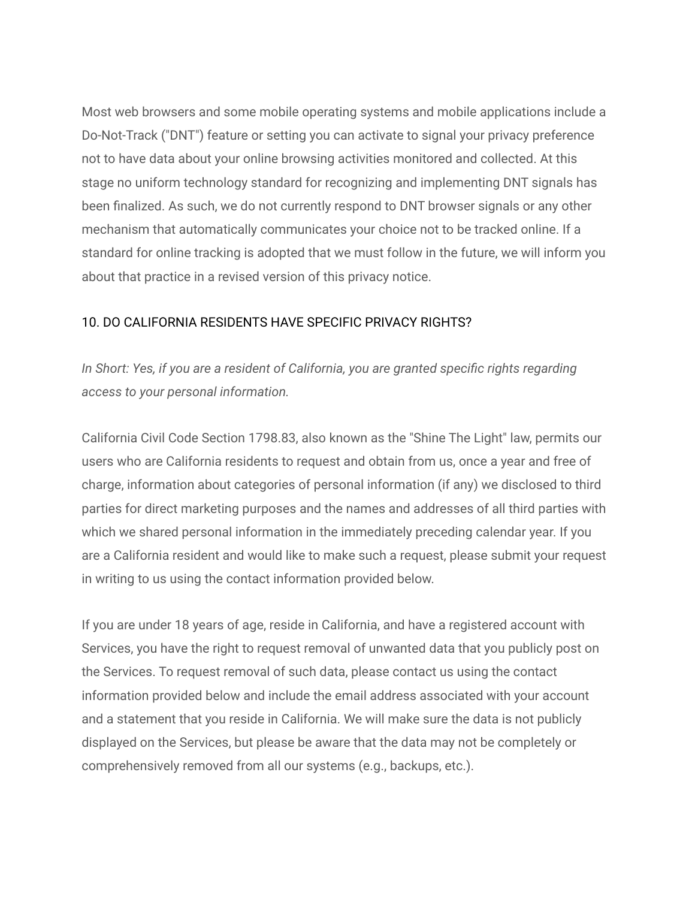Most web browsers and some mobile operating systems and mobile applications include a Do-Not-Track ("DNT") feature or setting you can activate to signal your privacy preference not to have data about your online browsing activities monitored and collected. At this stage no uniform technology standard for recognizing and implementing DNT signals has been finalized. As such, we do not currently respond to DNT browser signals or any other mechanism that automatically communicates your choice not to be tracked online. If a standard for online tracking is adopted that we must follow in the future, we will inform you about that practice in a revised version of this privacy notice.

#### 10. DO CALIFORNIA RESIDENTS HAVE SPECIFIC PRIVACY RIGHTS?

*In Short: Yes, if you are a resident of California, you are granted specific rights regarding access to your personal information.*

California Civil Code Section 1798.83, also known as the "Shine The Light" law, permits our users who are California residents to request and obtain from us, once a year and free of charge, information about categories of personal information (if any) we disclosed to third parties for direct marketing purposes and the names and addresses of all third parties with which we shared personal information in the immediately preceding calendar year. If you are a California resident and would like to make such a request, please submit your request in writing to us using the contact information provided below.

If you are under 18 years of age, reside in California, and have a registered account with Services, you have the right to request removal of unwanted data that you publicly post on the Services. To request removal of such data, please contact us using the contact information provided below and include the email address associated with your account and a statement that you reside in California. We will make sure the data is not publicly displayed on the Services, but please be aware that the data may not be completely or comprehensively removed from all our systems (e.g., backups, etc.).